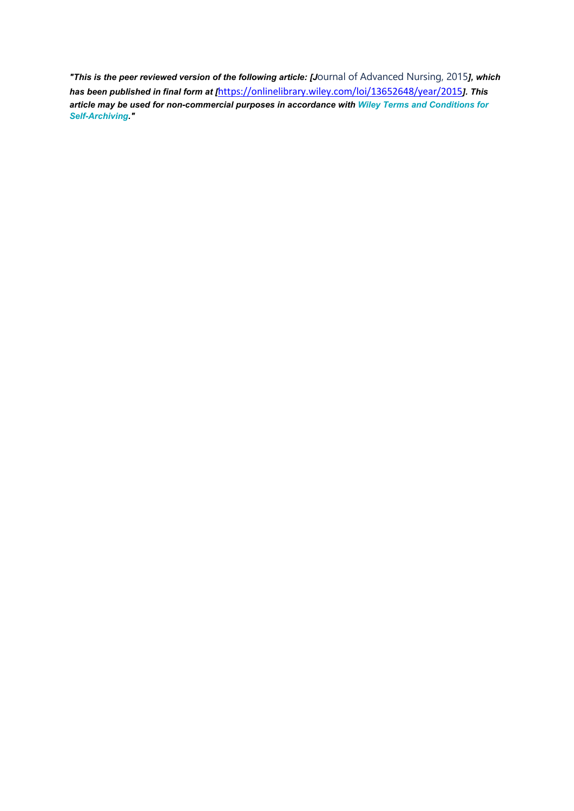*"This is the peer reviewed version of the following article: [J*ournal of Advanced Nursing, 2015*], which has been published in final form at [*<https://onlinelibrary.wiley.com/loi/13652648/year/2015>*]. This article may be used for non-commercial purposes in accordance with Wiley Terms and [Conditions](http://olabout.wiley.com/WileyCDA/Section/id-828039.html#terms) for [Self-Archiving.](http://olabout.wiley.com/WileyCDA/Section/id-828039.html#terms)"*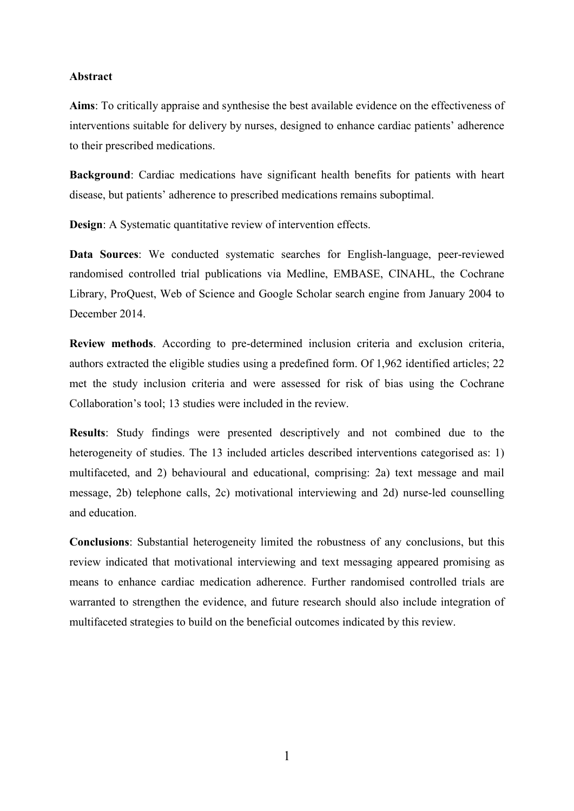#### **Abstract**

**Aims**: To critically appraise and synthesise the best available evidence on the effectiveness of interventions suitable for delivery by nurses, designed to enhance cardiac patients' adherence to their prescribed medications.

**Background**: Cardiac medications have significant health benefits for patients with heart disease, but patients' adherence to prescribed medications remains suboptimal.

**Design:** A Systematic quantitative review of intervention effects.

**Data Sources**: We conducted systematic searches for English-language, peer-reviewed randomised controlled trial publications via Medline, EMBASE, CINAHL, the Cochrane Library, ProQuest, Web of Science and Google Scholar search engine from January 2004 to December 2014.

**Review methods**. According to pre-determined inclusion criteria and exclusion criteria, authors extracted the eligible studies using a predefined form. Of 1,962 identified articles; 22 met the study inclusion criteria and were assessed for risk of bias using the Cochrane Collaboration's tool; 13 studies were included in the review.

**Results**: Study findings were presented descriptively and not combined due to the heterogeneity of studies. The 13 included articles described interventions categorised as: 1) multifaceted, and 2) behavioural and educational, comprising: 2a) text message and mail message, 2b) telephone calls, 2c) motivational interviewing and 2d) nurse-led counselling and education.

**Conclusions**: Substantial heterogeneity limited the robustness of any conclusions, but this review indicated that motivational interviewing and text messaging appeared promising as means to enhance cardiac medication adherence. Further randomised controlled trials are warranted to strengthen the evidence, and future research should also include integration of multifaceted strategies to build on the beneficial outcomes indicated by this review.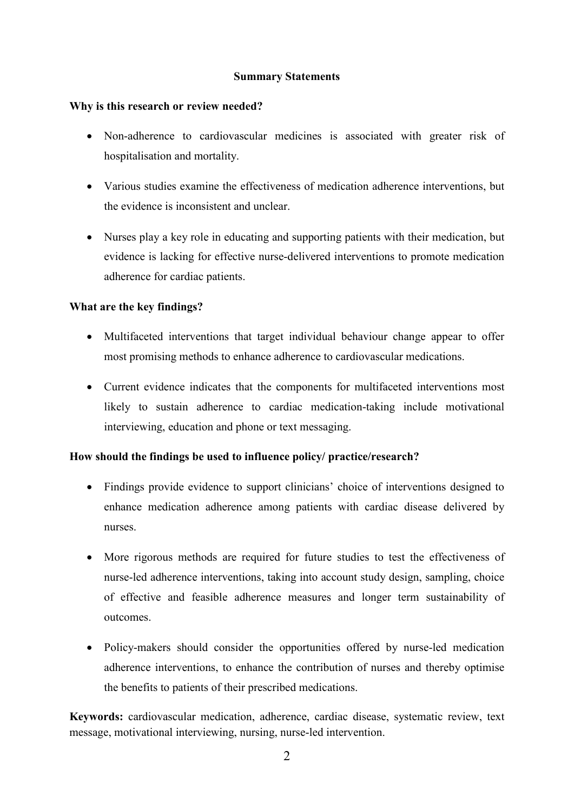## **Summary Statements**

### **Why is this research or review needed?**

- Non-adherence to cardiovascular medicines is associated with greater risk of hospitalisation and mortality.
- Various studies examine the effectiveness of medication adherence interventions, but the evidence is inconsistent and unclear.
- Nurses play a key role in educating and supporting patients with their medication, but evidence is lacking for effective nurse-delivered interventions to promote medication adherence for cardiac patients.

## **What are the key findings?**

- Multifaceted interventions that target individual behaviour change appear to offer most promising methods to enhance adherence to cardiovascular medications.
- Current evidence indicates that the components for multifaceted interventions most likely to sustain adherence to cardiac medication-taking include motivational interviewing, education and phone or text messaging.

## **How should the findings be used to influence policy/ practice/research?**

- Findings provide evidence to support clinicians' choice of interventions designed to enhance medication adherence among patients with cardiac disease delivered by nurses.
- More rigorous methods are required for future studies to test the effectiveness of nurse-led adherence interventions, taking into account study design, sampling, choice of effective and feasible adherence measures and longer term sustainability of outcomes.
- Policy-makers should consider the opportunities offered by nurse-led medication adherence interventions, to enhance the contribution of nurses and thereby optimise the benefits to patients of their prescribed medications.

**Keywords:** cardiovascular medication, adherence, cardiac disease, systematic review, text message, motivational interviewing, nursing, nurse-led intervention.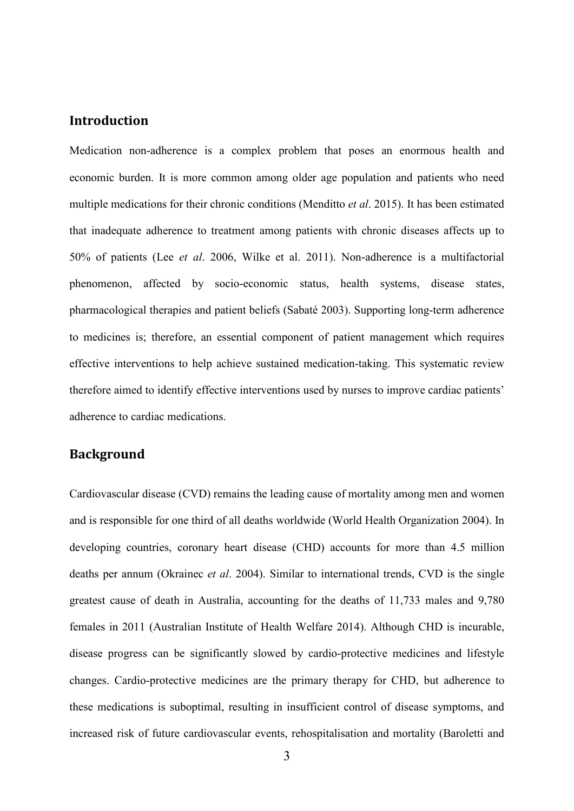# **Introduction**

Medication non-adherence is a complex problem that poses an enormous health and economic burden. It is more common among older age population and patients who need multiple medications for their chronic conditions (Menditto *et al*. 2015). It has been estimated that inadequate adherence to treatment among patients with chronic diseases affects up to 50% of patients (Lee *et al*. 2006, Wilke et al. 2011). Non-adherence is a multifactorial phenomenon, affected by socio-economic status, health systems, disease states, pharmacological therapies and patient beliefs (Sabaté 2003). Supporting long-term adherence to medicines is; therefore, an essential component of patient management which requires effective interventions to help achieve sustained medication-taking. This systematic review therefore aimed to identify effective interventions used by nurses to improve cardiac patients' adherence to cardiac medications.

# **Background**

Cardiovascular disease (CVD) remains the leading cause of mortality among men and women and is responsible for one third of all deaths worldwide (World Health Organization 2004). In developing countries, coronary heart disease (CHD) accounts for more than 4.5 million deaths per annum (Okrainec *et al*. 2004). Similar to international trends, CVD is the single greatest cause of death in Australia, accounting for the deaths of 11,733 males and 9,780 females in 2011 (Australian Institute of Health Welfare 2014). Although CHD is incurable, disease progress can be significantly slowed by cardio-protective medicines and lifestyle changes. Cardio-protective medicines are the primary therapy for CHD, but adherence to these medications is suboptimal, resulting in insufficient control of disease symptoms, and increased risk of future cardiovascular events, rehospitalisation and mortality (Baroletti and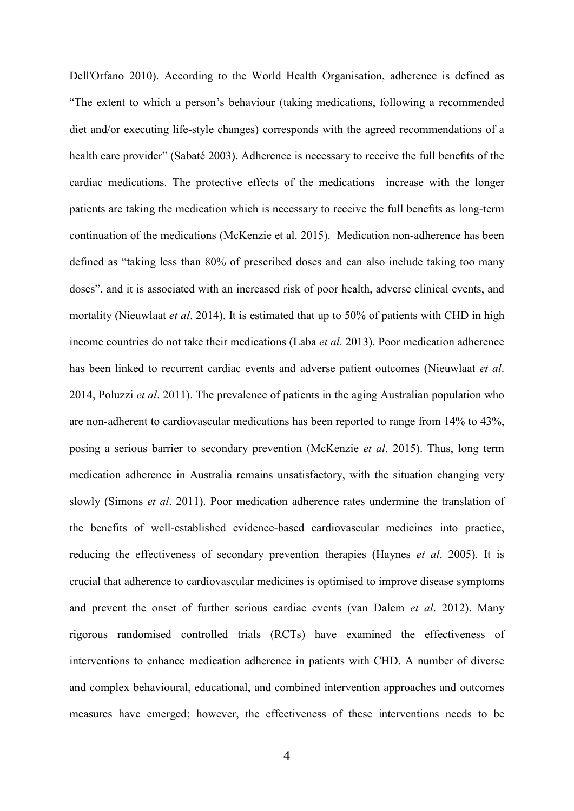Dell'Orfano 2010). According to the World Health Organisation, adherence is defined as "The extent to which a person's behaviour (taking medications, following a recommended diet and/or executing life-style changes) corresponds with the agreed recommendations of a health care provider" (Sabaté 2003). Adherence is necessary to receive the full benefits of the cardiac medications. The protective effects of the medications increase with the longer patients are taking the medication which is necessary to receive the full benefits as long-term continuation of the medications (McKenzie et al. 2015). Medication non-adherence has been defined as "taking less than 80% of prescribed doses and can also include taking too many doses", and it is associated with an increased risk of poor health, adverse clinical events, and mortality (Nieuwlaat *et al*. 2014). It is estimated that up to 50% of patients with CHD in high income countries do not take their medications (Laba *et al*. 2013). Poor medication adherence has been linked to recurrent cardiac events and adverse patient outcomes (Nieuwlaat *et al*. 2014, Poluzzi *et al*. 2011). The prevalence of patients in the aging Australian population who are non-adherent to cardiovascular medications has been reported to range from 14% to 43%, posing a serious barrier to secondary prevention (McKenzie *et al*. 2015). Thus, long term medication adherence in Australia remains unsatisfactory, with the situation changing very slowly (Simons *et al*. 2011). Poor medication adherence rates undermine the translation of the benefits of well-established evidence-based cardiovascular medicines into practice, reducing the effectiveness of secondary prevention therapies (Haynes *et al*. 2005). It is crucial that adherence to cardiovascular medicines is optimised to improve disease symptoms and prevent the onset of further serious cardiac events (van Dalem *et al*. 2012). Many rigorous randomised controlled trials (RCTs) have examined the effectiveness of interventions to enhance medication adherence in patients with CHD. A number of diverse and complex behavioural, educational, and combined intervention approaches and outcomes measures have emerged; however, the effectiveness of these interventions needs to be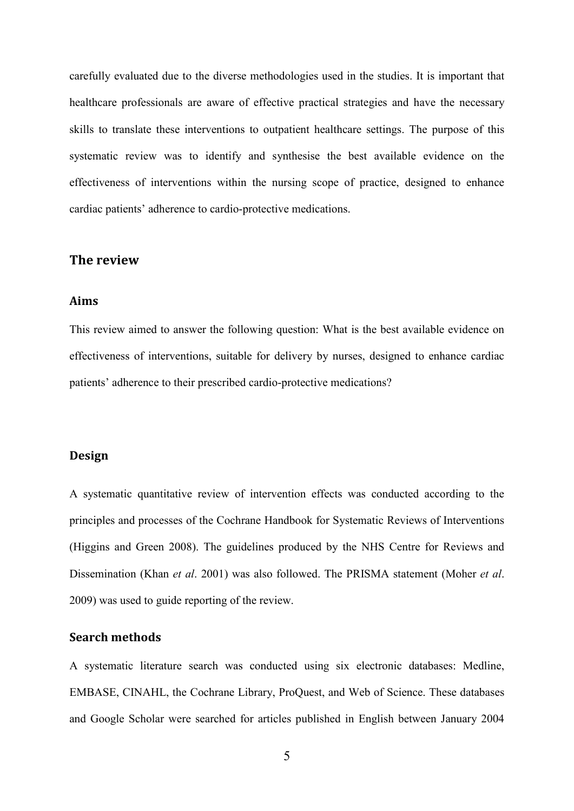carefully evaluated due to the diverse methodologies used in the studies. It is important that healthcare professionals are aware of effective practical strategies and have the necessary skills to translate these interventions to outpatient healthcare settings. The purpose of this systematic review was to identify and synthesise the best available evidence on the effectiveness of interventions within the nursing scope of practice, designed to enhance cardiac patients' adherence to cardio-protective medications.

## **The review**

### **Aims**

This review aimed to answer the following question: What is the best available evidence on effectiveness of interventions, suitable for delivery by nurses, designed to enhance cardiac patients' adherence to their prescribed cardio-protective medications?

#### **Design**

A systematic quantitative review of intervention effects was conducted according to the principles and processes of the Cochrane Handbook for Systematic Reviews of Interventions (Higgins and Green 2008). The guidelines produced by the NHS Centre for Reviews and Dissemination (Khan *et al*. 2001) was also followed. The PRISMA statement (Moher *et al*. 2009) was used to guide reporting of the review.

### **Search methods**

A systematic literature search was conducted using six electronic databases: Medline, EMBASE, CINAHL, the Cochrane Library, ProQuest, and Web of Science. These databases and Google Scholar were searched for articles published in English between January 2004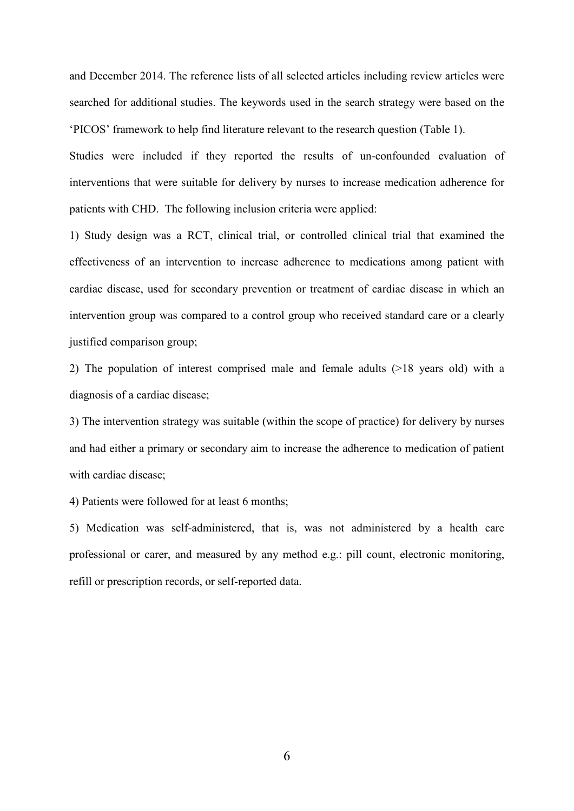and December 2014. The reference lists of all selected articles including review articles were searched for additional studies. The keywords used in the search strategy were based on the 'PICOS' framework to help find literature relevant to the research question (Table 1).

Studies were included if they reported the results of un-confounded evaluation of interventions that were suitable for delivery by nurses to increase medication adherence for patients with CHD. The following inclusion criteria were applied:

1) Study design was a RCT, clinical trial, or controlled clinical trial that examined the effectiveness of an intervention to increase adherence to medications among patient with cardiac disease, used for secondary prevention or treatment of cardiac disease in which an intervention group was compared to a control group who received standard care or a clearly justified comparison group;

2) The population of interest comprised male and female adults (>18 years old) with a diagnosis of a cardiac disease;

3) The intervention strategy was suitable (within the scope of practice) for delivery by nurses and had either a primary or secondary aim to increase the adherence to medication of patient with cardiac disease;

4) Patients were followed for at least 6 months;

5) Medication was self-administered, that is, was not administered by a health care professional or carer, and measured by any method e.g.: pill count, electronic monitoring, refill or prescription records, or self-reported data.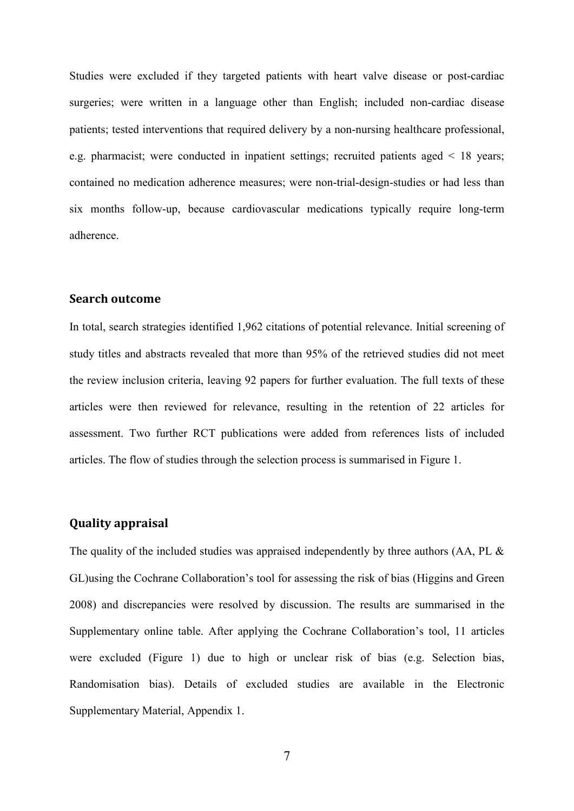Studies were excluded if they targeted patients with heart valve disease or post-cardiac surgeries; were written in a language other than English; included non-cardiac disease patients; tested interventions that required delivery by a non-nursing healthcare professional, e.g. pharmacist; were conducted in inpatient settings; recruited patients aged < 18 years; contained no medication adherence measures; were non-trial-design-studies or had less than six months follow-up, because cardiovascular medications typically require long-term adherence.

#### **Search outcome**

In total, search strategies identified 1,962 citations of potential relevance. Initial screening of study titles and abstracts revealed that more than 95% of the retrieved studies did not meet the review inclusion criteria, leaving 92 papers for further evaluation. The full texts of these articles were then reviewed for relevance, resulting in the retention of 22 articles for assessment. Two further RCT publications were added from references lists of included articles. The flow of studies through the selection process is summarised in Figure 1.

### **Quality appraisal**

The quality of the included studies was appraised independently by three authors (AA, PL & GL)using the Cochrane Collaboration's tool for assessing the risk of bias (Higgins and Green 2008) and discrepancies were resolved by discussion. The results are summarised in the Supplementary online table. After applying the Cochrane Collaboration's tool, 11 articles were excluded (Figure 1) due to high or unclear risk of bias (e.g. Selection bias, Randomisation bias). Details of excluded studies are available in the Electronic Supplementary Material, Appendix 1.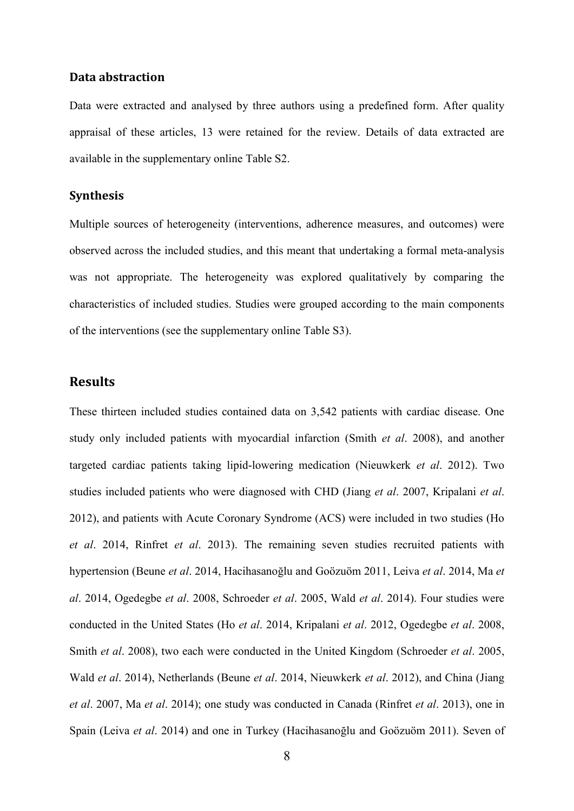#### **Data abstraction**

Data were extracted and analysed by three authors using a predefined form. After quality appraisal of these articles, 13 were retained for the review. Details of data extracted are available in the supplementary online Table S2.

### **Synthesis**

Multiple sources of heterogeneity (interventions, adherence measures, and outcomes) were observed across the included studies, and this meant that undertaking a formal meta-analysis was not appropriate. The heterogeneity was explored qualitatively by comparing the characteristics of included studies. Studies were grouped according to the main components of the interventions (see the supplementary online Table S3).

### **Results**

These thirteen included studies contained data on 3,542 patients with cardiac disease. One study only included patients with myocardial infarction (Smith *et al*. 2008), and another targeted cardiac patients taking lipid-lowering medication (Nieuwkerk *et al*. 2012). Two studies included patients who were diagnosed with CHD (Jiang *et al*. 2007, Kripalani *et al*. 2012), and patients with Acute Coronary Syndrome (ACS) were included in two studies (Ho *et al*. 2014, Rinfret *et al*. 2013). The remaining seven studies recruited patients with hypertension (Beune *et al*. 2014, Hacihasanoğlu and Goözuöm 2011, Leiva *et al*. 2014, Ma *et al*. 2014, Ogedegbe *et al*. 2008, Schroeder *et al*. 2005, Wald *et al*. 2014). Four studies were conducted in the United States (Ho *et al*. 2014, Kripalani *et al*. 2012, Ogedegbe *et al*. 2008, Smith *et al*. 2008), two each were conducted in the United Kingdom (Schroeder *et al*. 2005, Wald *et al*. 2014), Netherlands (Beune *et al*. 2014, Nieuwkerk *et al*. 2012), and China (Jiang *et al*. 2007, Ma *et al*. 2014); one study was conducted in Canada (Rinfret *et al*. 2013), one in Spain (Leiva *et al*. 2014) and one in Turkey (Hacihasanoğlu and Goözuöm 2011). Seven of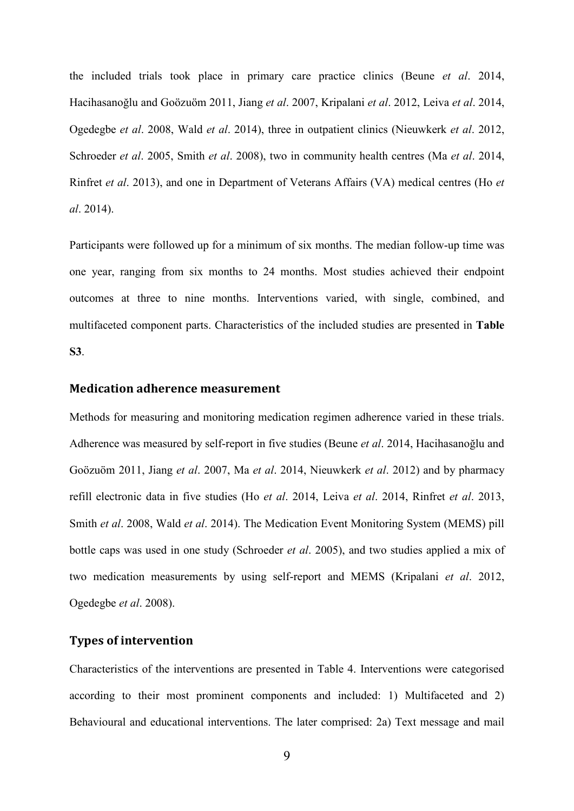the included trials took place in primary care practice clinics (Beune *et al*. 2014, Hacihasanoğlu and Goözuöm 2011, Jiang *et al*. 2007, Kripalani *et al*. 2012, Leiva *et al*. 2014, Ogedegbe *et al*. 2008, Wald *et al*. 2014), three in outpatient clinics (Nieuwkerk *et al*. 2012, Schroeder *et al*. 2005, Smith *et al*. 2008), two in community health centres (Ma *et al*. 2014, Rinfret *et al*. 2013), and one in Department of Veterans Affairs (VA) medical centres (Ho *et al*. 2014).

Participants were followed up for a minimum of six months. The median follow-up time was one year, ranging from six months to 24 months. Most studies achieved their endpoint outcomes at three to nine months. Interventions varied, with single, combined, and multifaceted component parts. Characteristics of the included studies are presented in **Table S3**.

#### **Medication adherence measurement**

Methods for measuring and monitoring medication regimen adherence varied in these trials. Adherence was measured by self-report in five studies (Beune *et al*. 2014, Hacihasanoğlu and Goözuöm 2011, Jiang *et al*. 2007, Ma *et al*. 2014, Nieuwkerk *et al*. 2012) and by pharmacy refill electronic data in five studies (Ho *et al*. 2014, Leiva *et al*. 2014, Rinfret *et al*. 2013, Smith *et al*. 2008, Wald *et al*. 2014). The Medication Event Monitoring System (MEMS) pill bottle caps was used in one study (Schroeder *et al*. 2005), and two studies applied a mix of two medication measurements by using self-report and MEMS (Kripalani *et al*. 2012, Ogedegbe *et al*. 2008).

## **Types of intervention**

Characteristics of the interventions are presented in Table 4. Interventions were categorised according to their most prominent components and included: 1) Multifaceted and 2) Behavioural and educational interventions. The later comprised: 2a) Text message and mail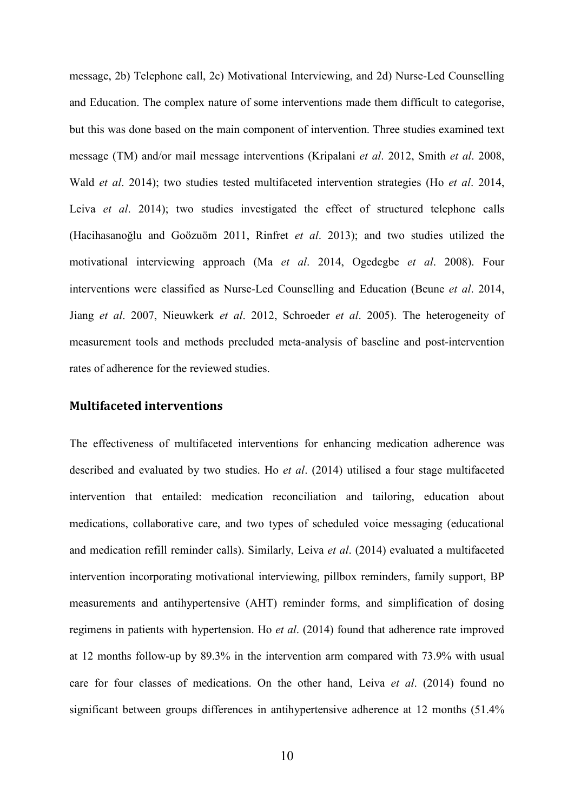message, 2b) Telephone call, 2c) Motivational Interviewing, and 2d) Nurse-Led Counselling and Education. The complex nature of some interventions made them difficult to categorise, but this was done based on the main component of intervention. Three studies examined text message (TM) and/or mail message interventions (Kripalani *et al*. 2012, Smith *et al*. 2008, Wald *et al*. 2014); two studies tested multifaceted intervention strategies (Ho *et al*. 2014, Leiva *et al*. 2014); two studies investigated the effect of structured telephone calls (Hacihasanoğlu and Goözuöm 2011, Rinfret *et al*. 2013); and two studies utilized the motivational interviewing approach (Ma *et al*. 2014, Ogedegbe *et al*. 2008). Four interventions were classified as Nurse-Led Counselling and Education (Beune *et al*. 2014, Jiang *et al*. 2007, Nieuwkerk *et al*. 2012, Schroeder *et al*. 2005). The heterogeneity of measurement tools and methods precluded meta-analysis of baseline and post-intervention rates of adherence for the reviewed studies.

#### **Multifaceted interventions**

The effectiveness of multifaceted interventions for enhancing medication adherence was described and evaluated by two studies. Ho *et al*. (2014) utilised a four stage multifaceted intervention that entailed: medication reconciliation and tailoring, education about medications, collaborative care, and two types of scheduled voice messaging (educational and medication refill reminder calls). Similarly, Leiva *et al*. (2014) evaluated a multifaceted intervention incorporating motivational interviewing, pillbox reminders, family support, BP measurements and antihypertensive (AHT) reminder forms, and simplification of dosing regimens in patients with hypertension. Ho *et al*. (2014) found that adherence rate improved at 12 months follow-up by 89.3% in the intervention arm compared with 73.9% with usual care for four classes of medications. On the other hand, Leiva *et al*. (2014) found no significant between groups differences in antihypertensive adherence at 12 months (51.4%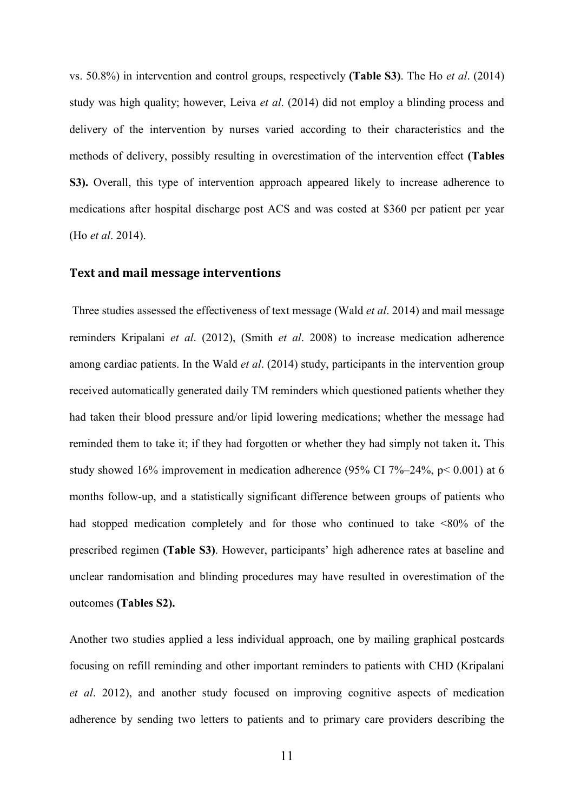vs. 50.8%) in intervention and control groups, respectively **(Table S3)**. The Ho *et al*. (2014) study was high quality; however, Leiva *et al*. (2014) did not employ a blinding process and delivery of the intervention by nurses varied according to their characteristics and the methods of delivery, possibly resulting in overestimation of the intervention effect **(Tables S3).** Overall, this type of intervention approach appeared likely to increase adherence to medications after hospital discharge post ACS and was costed at \$360 per patient per year (Ho *et al*. 2014).

### **Text and mail message interventions**

Three studies assessed the effectiveness of text message (Wald *et al*. 2014) and mail message reminders Kripalani *et al*. (2012), (Smith *et al*. 2008) to increase medication adherence among cardiac patients. In the Wald *et al*. (2014) study, participants in the intervention group received automatically generated daily TM reminders which questioned patients whether they had taken their blood pressure and/or lipid lowering medications; whether the message had reminded them to take it; if they had forgotten or whether they had simply not taken it**.** This study showed 16% improvement in medication adherence (95% CI 7%–24%,  $p < 0.001$ ) at 6 months follow-up, and a statistically significant difference between groups of patients who had stopped medication completely and for those who continued to take <80% of the prescribed regimen **(Table S3)**. However, participants' high adherence rates at baseline and unclear randomisation and blinding procedures may have resulted in overestimation of the outcomes **(Tables S2).**

Another two studies applied a less individual approach, one by mailing graphical postcards focusing on refill reminding and other important reminders to patients with CHD (Kripalani *et al*. 2012), and another study focused on improving cognitive aspects of medication adherence by sending two letters to patients and to primary care providers describing the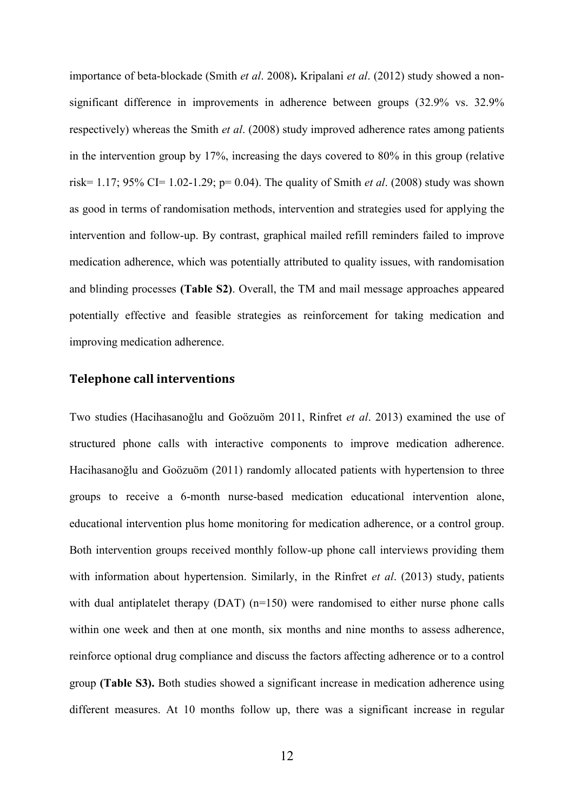importance of beta-blockade (Smith *et al*. 2008)**.** Kripalani *et al*. (2012) study showed a nonsignificant difference in improvements in adherence between groups (32.9% vs. 32.9% respectively) whereas the Smith *et al*. (2008) study improved adherence rates among patients in the intervention group by 17%, increasing the days covered to 80% in this group (relative risk= 1.17; 95% CI= 1.02-1.29; p= 0.04). The quality of Smith *et al*. (2008) study was shown as good in terms of randomisation methods, intervention and strategies used for applying the intervention and follow-up. By contrast, graphical mailed refill reminders failed to improve medication adherence, which was potentially attributed to quality issues, with randomisation and blinding processes **(Table S2)**. Overall, the TM and mail message approaches appeared potentially effective and feasible strategies as reinforcement for taking medication and improving medication adherence.

### **Telephone call interventions**

Two studies (Hacihasanoğlu and Goözuöm 2011, Rinfret *et al*. 2013) examined the use of structured phone calls with interactive components to improve medication adherence. Hacihasanoğlu and Goözuöm (2011) randomly allocated patients with hypertension to three groups to receive a 6-month nurse-based medication educational intervention alone, educational intervention plus home monitoring for medication adherence, or a control group. Both intervention groups received monthly follow-up phone call interviews providing them with information about hypertension. Similarly, in the Rinfret *et al*. (2013) study, patients with dual antiplatelet therapy (DAT) (n=150) were randomised to either nurse phone calls within one week and then at one month, six months and nine months to assess adherence, reinforce optional drug compliance and discuss the factors affecting adherence or to a control group **(Table S3).** Both studies showed a significant increase in medication adherence using different measures. At 10 months follow up, there was a significant increase in regular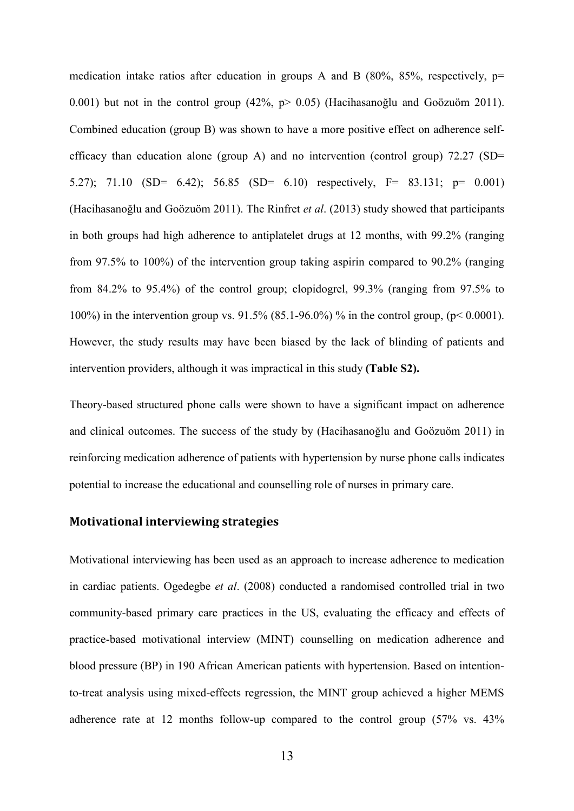medication intake ratios after education in groups A and B  $(80\%, 85\%,$  respectively,  $p=$ 0.001) but not in the control group  $(42\%, p > 0.05)$  (Hacihasanoğlu and Goözuöm 2011). Combined education (group B) was shown to have a more positive effect on adherence selfefficacy than education alone (group A) and no intervention (control group)  $72.27$  (SD= 5.27); 71.10 (SD= 6.42); 56.85 (SD= 6.10) respectively, F= 83.131; p= 0.001) (Hacihasanoğlu and Goözuöm 2011). The Rinfret *et al*. (2013) study showed that participants in both groups had high adherence to antiplatelet drugs at 12 months, with 99.2% (ranging from 97.5% to 100%) of the intervention group taking aspirin compared to 90.2% (ranging from 84.2% to 95.4%) of the control group; clopidogrel, 99.3% (ranging from 97.5% to 100%) in the intervention group vs. 91.5% (85.1-96.0%) % in the control group, (p< 0.0001). However, the study results may have been biased by the lack of blinding of patients and intervention providers, although it was impractical in this study **(Table S2).**

Theory-based structured phone calls were shown to have a significant impact on adherence and clinical outcomes. The success of the study by (Hacihasanoğlu and Goözuöm 2011) in reinforcing medication adherence of patients with hypertension by nurse phone calls indicates potential to increase the educational and counselling role of nurses in primary care.

### **Motivational interviewing strategies**

Motivational interviewing has been used as an approach to increase adherence to medication in cardiac patients. Ogedegbe *et al*. (2008) conducted a randomised controlled trial in two community-based primary care practices in the US, evaluating the efficacy and effects of practice-based motivational interview (MINT) counselling on medication adherence and blood pressure (BP) in 190 African American patients with hypertension. Based on intentionto-treat analysis using mixed-effects regression, the MINT group achieved a higher MEMS adherence rate at 12 months follow-up compared to the control group (57% vs. 43%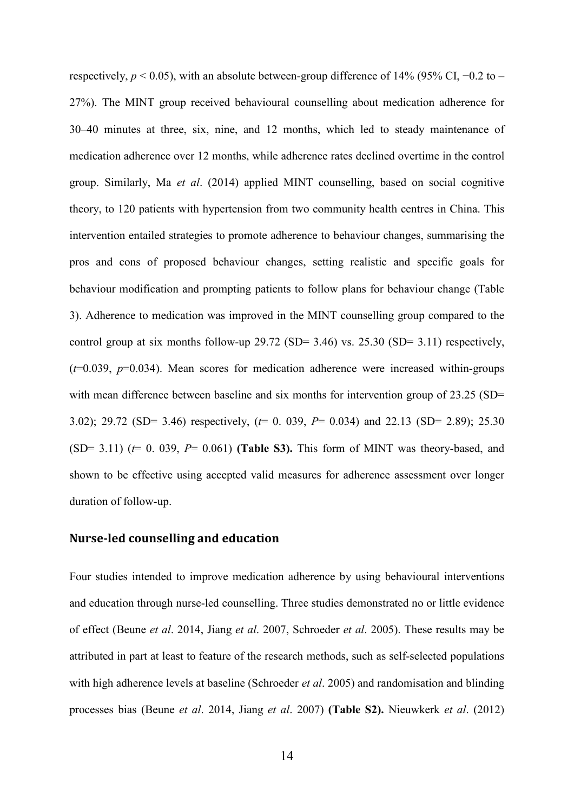respectively,  $p < 0.05$ ), with an absolute between-group difference of 14% (95% CI,  $-0.2$  to – 27%). The MINT group received behavioural counselling about medication adherence for 30–40 minutes at three, six, nine, and 12 months, which led to steady maintenance of medication adherence over 12 months, while adherence rates declined overtime in the control group. Similarly, Ma *et al*. (2014) applied MINT counselling, based on social cognitive theory, to 120 patients with hypertension from two community health centres in China. This intervention entailed strategies to promote adherence to behaviour changes, summarising the pros and cons of proposed behaviour changes, setting realistic and specific goals for behaviour modification and prompting patients to follow plans for behaviour change (Table 3). Adherence to medication was improved in the MINT counselling group compared to the control group at six months follow-up 29.72 (SD= 3.46) vs. 25.30 (SD= 3.11) respectively, (*t*=0.039, *p*=0.034). Mean scores for medication adherence were increased within-groups with mean difference between baseline and six months for intervention group of 23.25 (SD= 3.02); 29.72 (SD= 3.46) respectively, (*t*= 0. 039, *P*= 0.034) and 22.13 (SD= 2.89); 25.30  $(SD= 3.11)$  ( $t= 0.039$ ,  $P= 0.061$ ) (**Table S3).** This form of MINT was theory-based, and shown to be effective using accepted valid measures for adherence assessment over longer duration of follow-up.

#### **Nurse-led counselling and education**

Four studies intended to improve medication adherence by using behavioural interventions and education through nurse-led counselling. Three studies demonstrated no or little evidence of effect (Beune *et al*. 2014, Jiang *et al*. 2007, Schroeder *et al*. 2005). These results may be attributed in part at least to feature of the research methods, such as self-selected populations with high adherence levels at baseline (Schroeder *et al*. 2005) and randomisation and blinding processes bias (Beune *et al*. 2014, Jiang *et al*. 2007) **(Table S2).** Nieuwkerk *et al*. (2012)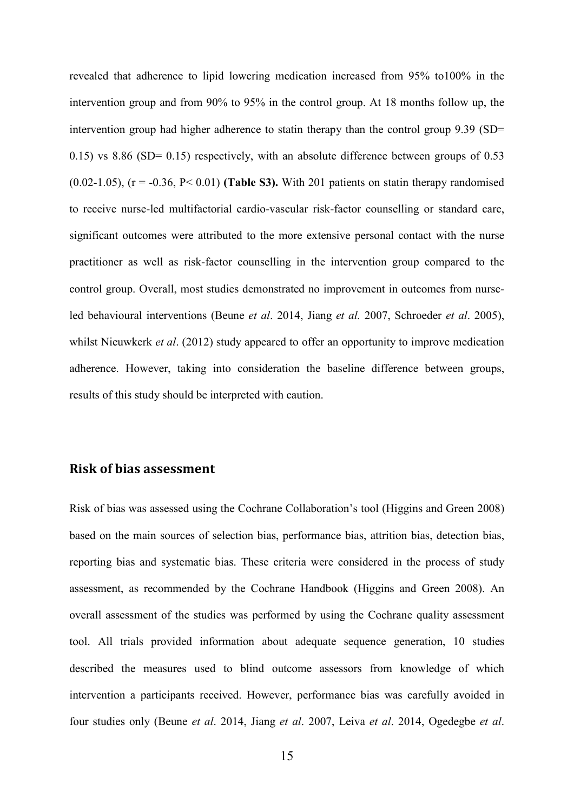revealed that adherence to lipid lowering medication increased from 95% to100% in the intervention group and from 90% to 95% in the control group. At 18 months follow up, the intervention group had higher adherence to statin therapy than the control group 9.39 (SD= 0.15) vs 8.86 (SD= 0.15) respectively, with an absolute difference between groups of 0.53 (0.02-1.05),  $(r = -0.36, P < 0.01)$  (Table S3). With 201 patients on statin therapy randomised to receive nurse-led multifactorial cardio-vascular risk-factor counselling or standard care, significant outcomes were attributed to the more extensive personal contact with the nurse practitioner as well as risk-factor counselling in the intervention group compared to the control group. Overall, most studies demonstrated no improvement in outcomes from nurseled behavioural interventions (Beune *et al*. 2014, Jiang *et al.* 2007, Schroeder *et al*. 2005), whilst Nieuwkerk *et al*. (2012) study appeared to offer an opportunity to improve medication adherence. However, taking into consideration the baseline difference between groups, results of this study should be interpreted with caution.

## **Risk of bias assessment**

Risk of bias was assessed using the Cochrane Collaboration's tool (Higgins and Green 2008) based on the main sources of selection bias, performance bias, attrition bias, detection bias, reporting bias and systematic bias. These criteria were considered in the process of study assessment, as recommended by the Cochrane Handbook (Higgins and Green 2008). An overall assessment of the studies was performed by using the Cochrane quality assessment tool. All trials provided information about adequate sequence generation, 10 studies described the measures used to blind outcome assessors from knowledge of which intervention a participants received. However, performance bias was carefully avoided in four studies only (Beune *et al*. 2014, Jiang *et al*. 2007, Leiva *et al*. 2014, Ogedegbe *et al*.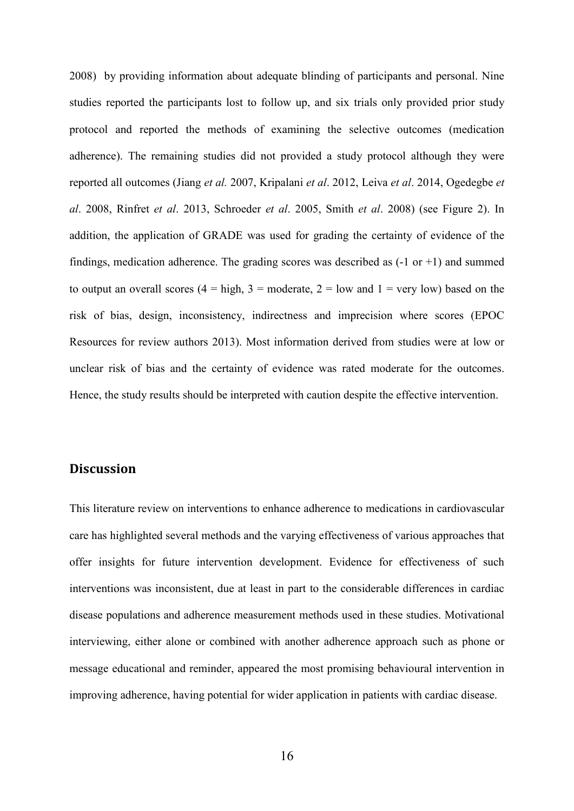2008) by providing information about adequate blinding of participants and personal. Nine studies reported the participants lost to follow up, and six trials only provided prior study protocol and reported the methods of examining the selective outcomes (medication adherence). The remaining studies did not provided a study protocol although they were reported all outcomes (Jiang *et al.* 2007, Kripalani *et al*. 2012, Leiva *et al*. 2014, Ogedegbe *et al*. 2008, Rinfret *et al*. 2013, Schroeder *et al*. 2005, Smith *et al*. 2008) (see Figure 2). In addition, the application of GRADE was used for grading the certainty of evidence of the findings, medication adherence. The grading scores was described as  $(-1 \text{ or } +1)$  and summed to output an overall scores  $(4 = high, 3 = moderate, 2 = low and 1 = very low) based on the$ risk of bias, design, inconsistency, indirectness and imprecision where scores (EPOC Resources for review authors 2013). Most information derived from studies were at low or unclear risk of bias and the certainty of evidence was rated moderate for the outcomes. Hence, the study results should be interpreted with caution despite the effective intervention.

## **Discussion**

This literature review on interventions to enhance adherence to medications in cardiovascular care has highlighted several methods and the varying effectiveness of various approaches that offer insights for future intervention development. Evidence for effectiveness of such interventions was inconsistent, due at least in part to the considerable differences in cardiac disease populations and adherence measurement methods used in these studies. Motivational interviewing, either alone or combined with another adherence approach such as phone or message educational and reminder, appeared the most promising behavioural intervention in improving adherence, having potential for wider application in patients with cardiac disease.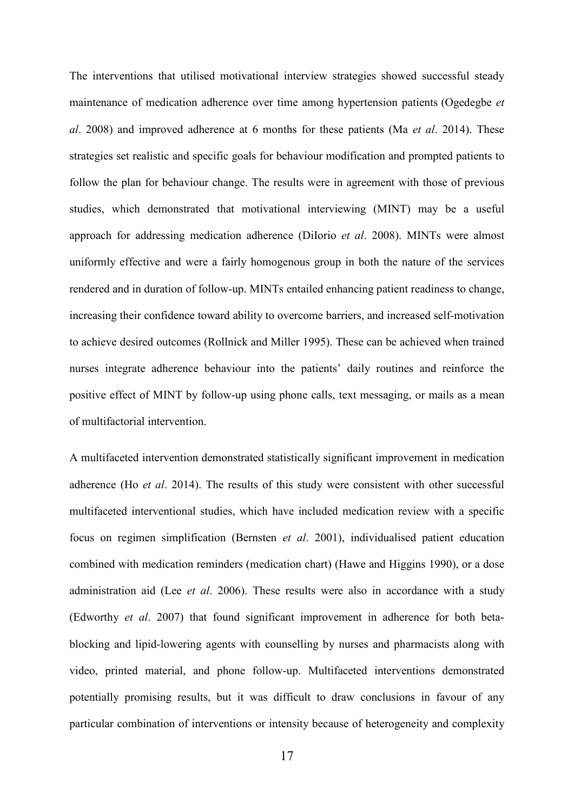The interventions that utilised motivational interview strategies showed successful steady maintenance of medication adherence over time among hypertension patients (Ogedegbe *et al*. 2008) and improved adherence at 6 months for these patients (Ma *et al*. 2014). These strategies set realistic and specific goals for behaviour modification and prompted patients to follow the plan for behaviour change. The results were in agreement with those of previous studies, which demonstrated that motivational interviewing (MINT) may be a useful approach for addressing medication adherence (DiIorio *et al*. 2008). MINTs were almost uniformly effective and were a fairly homogenous group in both the nature of the services rendered and in duration of follow-up. MINTs entailed enhancing patient readiness to change, increasing their confidence toward ability to overcome barriers, and increased self-motivation to achieve desired outcomes (Rollnick and Miller 1995). These can be achieved when trained nurses integrate adherence behaviour into the patients' daily routines and reinforce the positive effect of MINT by follow-up using phone calls, text messaging, or mails as a mean of multifactorial intervention.

A multifaceted intervention demonstrated statistically significant improvement in medication adherence (Ho *et al*. 2014). The results of this study were consistent with other successful multifaceted interventional studies, which have included medication review with a specific focus on regimen simplification (Bernsten *et al*. 2001), individualised patient education combined with medication reminders (medication chart) (Hawe and Higgins 1990), or a dose administration aid (Lee *et al*. 2006). These results were also in accordance with a study (Edworthy *et al*. 2007) that found significant improvement in adherence for both betablocking and lipid-lowering agents with counselling by nurses and pharmacists along with video, printed material, and phone follow-up. Multifaceted interventions demonstrated potentially promising results, but it was difficult to draw conclusions in favour of any particular combination of interventions or intensity because of heterogeneity and complexity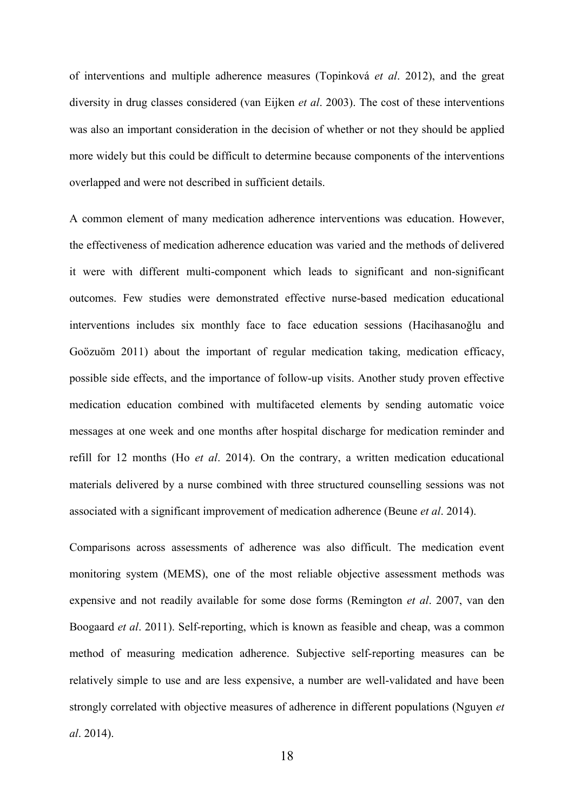of interventions and multiple adherence measures (Topinková *et al*. 2012), and the great diversity in drug classes considered (van Eijken *et al*. 2003). The cost of these interventions was also an important consideration in the decision of whether or not they should be applied more widely but this could be difficult to determine because components of the interventions overlapped and were not described in sufficient details.

A common element of many medication adherence interventions was education. However, the effectiveness of medication adherence education was varied and the methods of delivered it were with different multi-component which leads to significant and non-significant outcomes. Few studies were demonstrated effective nurse-based medication educational interventions includes six monthly face to face education sessions (Hacihasanoğlu and Goözuöm 2011) about the important of regular medication taking, medication efficacy, possible side effects, and the importance of follow-up visits. Another study proven effective medication education combined with multifaceted elements by sending automatic voice messages at one week and one months after hospital discharge for medication reminder and refill for 12 months (Ho *et al*. 2014). On the contrary, a written medication educational materials delivered by a nurse combined with three structured counselling sessions was not associated with a significant improvement of medication adherence (Beune *et al*. 2014).

Comparisons across assessments of adherence was also difficult. The medication event monitoring system (MEMS), one of the most reliable objective assessment methods was expensive and not readily available for some dose forms (Remington *et al*. 2007, van den Boogaard *et al*. 2011). Self-reporting, which is known as feasible and cheap, was a common method of measuring medication adherence. Subjective self-reporting measures can be relatively simple to use and are less expensive, a number are well-validated and have been strongly correlated with objective measures of adherence in different populations (Nguyen *et al*. 2014).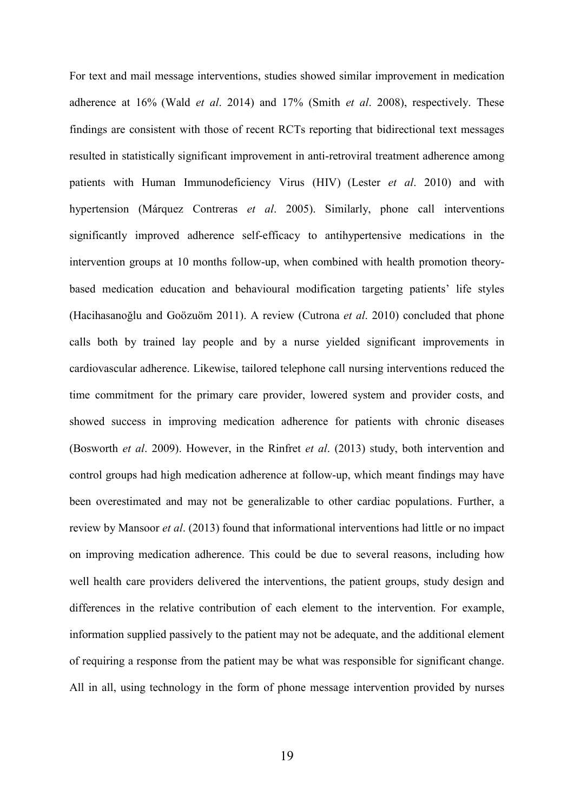For text and mail message interventions, studies showed similar improvement in medication adherence at 16% (Wald *et al*. 2014) and 17% (Smith *et al*. 2008), respectively. These findings are consistent with those of recent RCTs reporting that bidirectional text messages resulted in statistically significant improvement in anti-retroviral treatment adherence among patients with Human Immunodeficiency Virus (HIV) (Lester *et al*. 2010) and with hypertension (Márquez Contreras *et al*. 2005). Similarly, phone call interventions significantly improved adherence self-efficacy to antihypertensive medications in the intervention groups at 10 months follow-up, when combined with health promotion theorybased medication education and behavioural modification targeting patients' life styles (Hacihasanoğlu and Goözuöm 2011). A review (Cutrona *et al*. 2010) concluded that phone calls both by trained lay people and by a nurse yielded significant improvements in cardiovascular adherence. Likewise, tailored telephone call nursing interventions reduced the time commitment for the primary care provider, lowered system and provider costs, and showed success in improving medication adherence for patients with chronic diseases (Bosworth *et al*. 2009). However, in the Rinfret *et al*. (2013) study, both intervention and control groups had high medication adherence at follow-up, which meant findings may have been overestimated and may not be generalizable to other cardiac populations. Further, a review by Mansoor *et al*. (2013) found that informational interventions had little or no impact on improving medication adherence. This could be due to several reasons, including how well health care providers delivered the interventions, the patient groups, study design and differences in the relative contribution of each element to the intervention. For example, information supplied passively to the patient may not be adequate, and the additional element of requiring a response from the patient may be what was responsible for significant change. All in all, using technology in the form of phone message intervention provided by nurses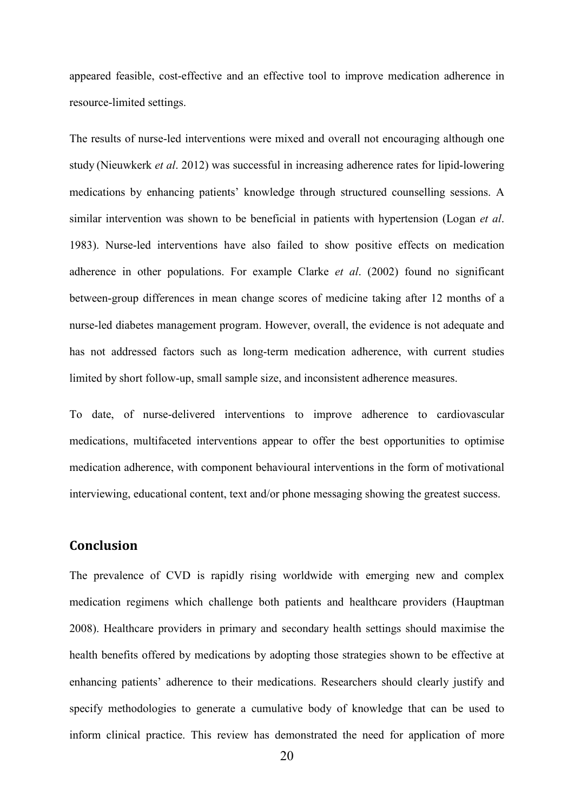appeared feasible, cost-effective and an effective tool to improve medication adherence in resource-limited settings.

The results of nurse-led interventions were mixed and overall not encouraging although one study (Nieuwkerk *et al*. 2012) was successful in increasing adherence rates for lipid-lowering medications by enhancing patients' knowledge through structured counselling sessions. A similar intervention was shown to be beneficial in patients with hypertension (Logan *et al*. 1983). Nurse-led interventions have also failed to show positive effects on medication adherence in other populations. For example Clarke *et al*. (2002) found no significant between-group differences in mean change scores of medicine taking after 12 months of a nurse-led diabetes management program. However, overall, the evidence is not adequate and has not addressed factors such as long-term medication adherence, with current studies limited by short follow-up, small sample size, and inconsistent adherence measures.

To date, of nurse-delivered interventions to improve adherence to cardiovascular medications, multifaceted interventions appear to offer the best opportunities to optimise medication adherence, with component behavioural interventions in the form of motivational interviewing, educational content, text and/or phone messaging showing the greatest success.

# **Conclusion**

The prevalence of CVD is rapidly rising worldwide with emerging new and complex medication regimens which challenge both patients and healthcare providers (Hauptman 2008). Healthcare providers in primary and secondary health settings should maximise the health benefits offered by medications by adopting those strategies shown to be effective at enhancing patients' adherence to their medications. Researchers should clearly justify and specify methodologies to generate a cumulative body of knowledge that can be used to inform clinical practice. This review has demonstrated the need for application of more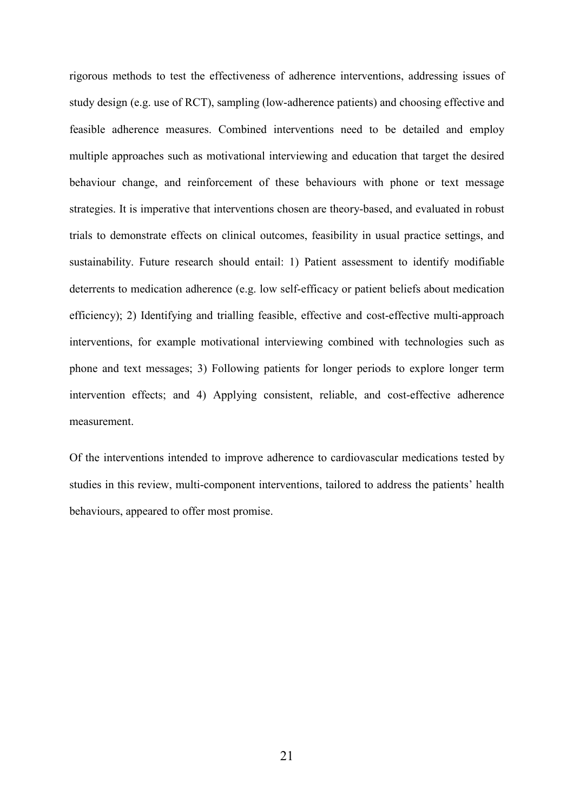rigorous methods to test the effectiveness of adherence interventions, addressing issues of study design (e.g. use of RCT), sampling (low-adherence patients) and choosing effective and feasible adherence measures. Combined interventions need to be detailed and employ multiple approaches such as motivational interviewing and education that target the desired behaviour change, and reinforcement of these behaviours with phone or text message strategies. It is imperative that interventions chosen are theory-based, and evaluated in robust trials to demonstrate effects on clinical outcomes, feasibility in usual practice settings, and sustainability. Future research should entail: 1) Patient assessment to identify modifiable deterrents to medication adherence (e.g. low self-efficacy or patient beliefs about medication efficiency); 2) Identifying and trialling feasible, effective and cost-effective multi-approach interventions, for example motivational interviewing combined with technologies such as phone and text messages; 3) Following patients for longer periods to explore longer term intervention effects; and 4) Applying consistent, reliable, and cost-effective adherence measurement.

Of the interventions intended to improve adherence to cardiovascular medications tested by studies in this review, multi-component interventions, tailored to address the patients' health behaviours, appeared to offer most promise.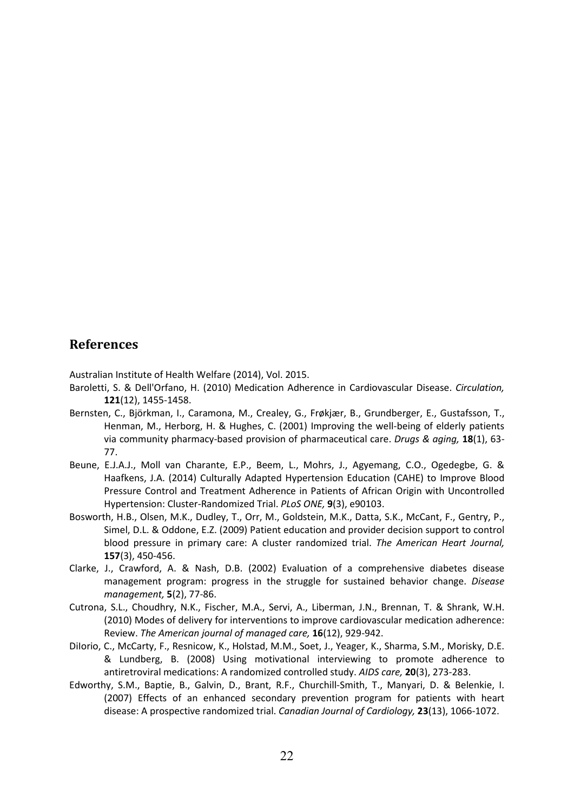# **References**

Australian Institute of Health Welfare (2014), Vol. 2015.

- Baroletti, S. & Dell'Orfano, H. (2010) Medication Adherence in Cardiovascular Disease. *Circulation,* **121**(12), 1455-1458.
- Bernsten, C., Björkman, I., Caramona, M., Crealey, G., Frøkjær, B., Grundberger, E., Gustafsson, T., Henman, M., Herborg, H. & Hughes, C. (2001) Improving the well-being of elderly patients via community pharmacy-based provision of pharmaceutical care. *Drugs & aging,* **18**(1), 63- 77.
- Beune, E.J.A.J., Moll van Charante, E.P., Beem, L., Mohrs, J., Agyemang, C.O., Ogedegbe, G. & Haafkens, J.A. (2014) Culturally Adapted Hypertension Education (CAHE) to Improve Blood Pressure Control and Treatment Adherence in Patients of African Origin with Uncontrolled Hypertension: Cluster-Randomized Trial. *PLoS ONE,* **9**(3), e90103.
- Bosworth, H.B., Olsen, M.K., Dudley, T., Orr, M., Goldstein, M.K., Datta, S.K., McCant, F., Gentry, P., Simel, D.L. & Oddone, E.Z. (2009) Patient education and provider decision support to control blood pressure in primary care: A cluster randomized trial. *The American Heart Journal,* **157**(3), 450-456.
- Clarke, J., Crawford, A. & Nash, D.B. (2002) Evaluation of a comprehensive diabetes disease management program: progress in the struggle for sustained behavior change. *Disease management,* **5**(2), 77-86.
- Cutrona, S.L., Choudhry, N.K., Fischer, M.A., Servi, A., Liberman, J.N., Brennan, T. & Shrank, W.H. (2010) Modes of delivery for interventions to improve cardiovascular medication adherence: Review. *The American journal of managed care,* **16**(12), 929-942.
- DiIorio, C., McCarty, F., Resnicow, K., Holstad, M.M., Soet, J., Yeager, K., Sharma, S.M., Morisky, D.E. & Lundberg, B. (2008) Using motivational interviewing to promote adherence to antiretroviral medications: A randomized controlled study. *AIDS care,* **20**(3), 273-283.
- Edworthy, S.M., Baptie, B., Galvin, D., Brant, R.F., Churchill-Smith, T., Manyari, D. & Belenkie, I. (2007) Effects of an enhanced secondary prevention program for patients with heart disease: A prospective randomized trial. *Canadian Journal of Cardiology,* **23**(13), 1066-1072.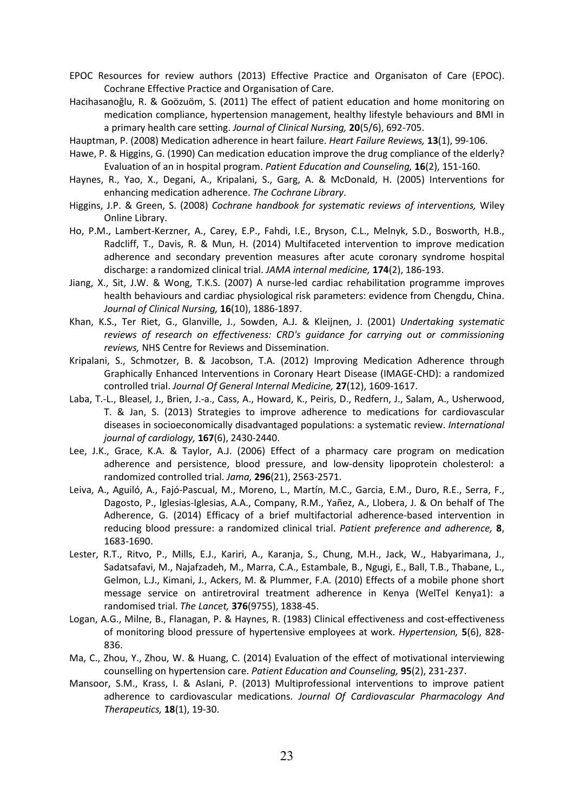- EPOC Resources for review authors (2013) Effective Practice and Organisaton of Care (EPOC). Cochrane Effective Practice and Organisation of Care.
- Hacihasanoğlu, R. & Goözuöm, S. (2011) The effect of patient education and home monitoring on medication compliance, hypertension management, healthy lifestyle behaviours and BMI in a primary health care setting. *Journal of Clinical Nursing,* **20**(5/6), 692-705.
- Hauptman, P. (2008) Medication adherence in heart failure. *Heart Failure Reviews,* **13**(1), 99-106.
- Hawe, P. & Higgins, G. (1990) Can medication education improve the drug compliance of the elderly? Evaluation of an in hospital program. *Patient Education and Counseling,* **16**(2), 151-160.
- Haynes, R., Yao, X., Degani, A., Kripalani, S., Garg, A. & McDonald, H. (2005) Interventions for enhancing medication adherence. *The Cochrane Library*.
- Higgins, J.P. & Green, S. (2008) *Cochrane handbook for systematic reviews of interventions,* Wiley Online Library.
- Ho, P.M., Lambert-Kerzner, A., Carey, E.P., Fahdi, I.E., Bryson, C.L., Melnyk, S.D., Bosworth, H.B., Radcliff, T., Davis, R. & Mun, H. (2014) Multifaceted intervention to improve medication adherence and secondary prevention measures after acute coronary syndrome hospital discharge: a randomized clinical trial. *JAMA internal medicine,* **174**(2), 186-193.
- Jiang, X., Sit, J.W. & Wong, T.K.S. (2007) A nurse-led cardiac rehabilitation programme improves health behaviours and cardiac physiological risk parameters: evidence from Chengdu, China. *Journal of Clinical Nursing,* **16**(10), 1886-1897.
- Khan, K.S., Ter Riet, G., Glanville, J., Sowden, A.J. & Kleijnen, J. (2001) *Undertaking systematic reviews of research on effectiveness: CRD's guidance for carrying out or commissioning reviews,* NHS Centre for Reviews and Dissemination.
- Kripalani, S., Schmotzer, B. & Jacobson, T.A. (2012) Improving Medication Adherence through Graphically Enhanced Interventions in Coronary Heart Disease (IMAGE-CHD): a randomized controlled trial. *Journal Of General Internal Medicine,* **27**(12), 1609-1617.
- Laba, T.-L., Bleasel, J., Brien, J.-a., Cass, A., Howard, K., Peiris, D., Redfern, J., Salam, A., Usherwood, T. & Jan, S. (2013) Strategies to improve adherence to medications for cardiovascular diseases in socioeconomically disadvantaged populations: a systematic review. *International journal of cardiology,* **167**(6), 2430-2440.
- Lee, J.K., Grace, K.A. & Taylor, A.J. (2006) Effect of a pharmacy care program on medication adherence and persistence, blood pressure, and low-density lipoprotein cholesterol: a randomized controlled trial. *Jama,* **296**(21), 2563-2571.
- Leiva, A., Aguiló, A., Fajó-Pascual, M., Moreno, L., Martín, M.C., Garcia, E.M., Duro, R.E., Serra, F., Dagosto, P., Iglesias-Iglesias, A.A., Company, R.M., Yañez, A., Llobera, J. & On behalf of The Adherence, G. (2014) Efficacy of a brief multifactorial adherence-based intervention in reducing blood pressure: a randomized clinical trial. *Patient preference and adherence,* **8**, 1683-1690.
- Lester, R.T., Ritvo, P., Mills, E.J., Kariri, A., Karanja, S., Chung, M.H., Jack, W., Habyarimana, J., Sadatsafavi, M., Najafzadeh, M., Marra, C.A., Estambale, B., Ngugi, E., Ball, T.B., Thabane, L., Gelmon, L.J., Kimani, J., Ackers, M. & Plummer, F.A. (2010) Effects of a mobile phone short message service on antiretroviral treatment adherence in Kenya (WelTel Kenya1): a randomised trial. *The Lancet,* **376**(9755), 1838-45.
- Logan, A.G., Milne, B., Flanagan, P. & Haynes, R. (1983) Clinical effectiveness and cost-effectiveness of monitoring blood pressure of hypertensive employees at work. *Hypertension,* **5**(6), 828- 836.
- Ma, C., Zhou, Y., Zhou, W. & Huang, C. (2014) Evaluation of the effect of motivational interviewing counselling on hypertension care. *Patient Education and Counseling,* **95**(2), 231-237.
- Mansoor, S.M., Krass, I. & Aslani, P. (2013) Multiprofessional interventions to improve patient adherence to cardiovascular medications. *Journal Of Cardiovascular Pharmacology And Therapeutics,* **18**(1), 19-30.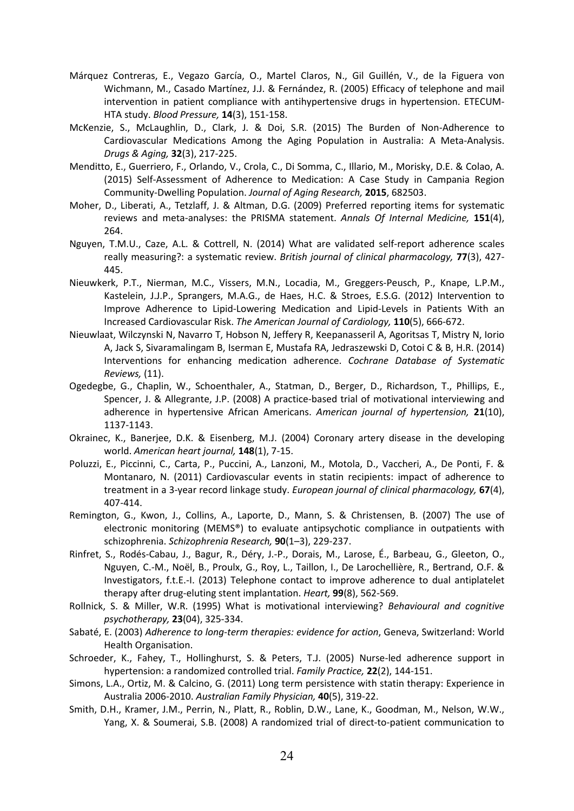- Márquez Contreras, E., Vegazo García, O., Martel Claros, N., Gil Guillén, V., de la Figuera von Wichmann, M., Casado Martínez, J.J. & Fernández, R. (2005) Efficacy of telephone and mail intervention in patient compliance with antihypertensive drugs in hypertension. ETECUM-HTA study. *Blood Pressure,* **14**(3), 151-158.
- McKenzie, S., McLaughlin, D., Clark, J. & Doi, S.R. (2015) The Burden of Non-Adherence to Cardiovascular Medications Among the Aging Population in Australia: A Meta-Analysis. *Drugs & Aging,* **32**(3), 217-225.
- Menditto, E., Guerriero, F., Orlando, V., Crola, C., Di Somma, C., Illario, M., Morisky, D.E. & Colao, A. (2015) Self-Assessment of Adherence to Medication: A Case Study in Campania Region Community-Dwelling Population. *Journal of Aging Research,* **2015**, 682503.
- Moher, D., Liberati, A., Tetzlaff, J. & Altman, D.G. (2009) Preferred reporting items for systematic reviews and meta-analyses: the PRISMA statement. *Annals Of Internal Medicine,* **151**(4), 264.
- Nguyen, T.M.U., Caze, A.L. & Cottrell, N. (2014) What are validated self-report adherence scales really measuring?: a systematic review. *British journal of clinical pharmacology,* **77**(3), 427- 445.
- Nieuwkerk, P.T., Nierman, M.C., Vissers, M.N., Locadia, M., Greggers-Peusch, P., Knape, L.P.M., Kastelein, J.J.P., Sprangers, M.A.G., de Haes, H.C. & Stroes, E.S.G. (2012) Intervention to Improve Adherence to Lipid-Lowering Medication and Lipid-Levels in Patients With an Increased Cardiovascular Risk. *The American Journal of Cardiology,* **110**(5), 666-672.
- Nieuwlaat, Wilczynski N, Navarro T, Hobson N, Jeffery R, Keepanasseril A, Agoritsas T, Mistry N, Iorio A, Jack S, Sivaramalingam B, Iserman E, Mustafa RA, Jedraszewski D, Cotoi C & B, H.R. (2014) Interventions for enhancing medication adherence. *Cochrane Database of Systematic Reviews,* (11).
- Ogedegbe, G., Chaplin, W., Schoenthaler, A., Statman, D., Berger, D., Richardson, T., Phillips, E., Spencer, J. & Allegrante, J.P. (2008) A practice-based trial of motivational interviewing and adherence in hypertensive African Americans. *American journal of hypertension,* **21**(10), 1137-1143.
- Okrainec, K., Banerjee, D.K. & Eisenberg, M.J. (2004) Coronary artery disease in the developing world. *American heart journal,* **148**(1), 7-15.
- Poluzzi, E., Piccinni, C., Carta, P., Puccini, A., Lanzoni, M., Motola, D., Vaccheri, A., De Ponti, F. & Montanaro, N. (2011) Cardiovascular events in statin recipients: impact of adherence to treatment in a 3-year record linkage study. *European journal of clinical pharmacology,* **67**(4), 407-414.
- Remington, G., Kwon, J., Collins, A., Laporte, D., Mann, S. & Christensen, B. (2007) The use of electronic monitoring (MEMS®) to evaluate antipsychotic compliance in outpatients with schizophrenia. *Schizophrenia Research,* **90**(1–3), 229-237.
- Rinfret, S., Rodés-Cabau, J., Bagur, R., Déry, J.-P., Dorais, M., Larose, É., Barbeau, G., Gleeton, O., Nguyen, C.-M., Noël, B., Proulx, G., Roy, L., Taillon, I., De Larochellière, R., Bertrand, O.F. & Investigators, f.t.E.-I. (2013) Telephone contact to improve adherence to dual antiplatelet therapy after drug-eluting stent implantation. *Heart,* **99**(8), 562-569.
- Rollnick, S. & Miller, W.R. (1995) What is motivational interviewing? *Behavioural and cognitive psychotherapy,* **23**(04), 325-334.
- Sabaté, E. (2003) *Adherence to long-term therapies: evidence for action*, Geneva, Switzerland: World Health Organisation.
- Schroeder, K., Fahey, T., Hollinghurst, S. & Peters, T.J. (2005) Nurse-led adherence support in hypertension: a randomized controlled trial. *Family Practice,* **22**(2), 144-151.
- Simons, L.A., Ortiz, M. & Calcino, G. (2011) Long term persistence with statin therapy: Experience in Australia 2006-2010. *Australian Family Physician,* **40**(5), 319-22.
- Smith, D.H., Kramer, J.M., Perrin, N., Platt, R., Roblin, D.W., Lane, K., Goodman, M., Nelson, W.W., Yang, X. & Soumerai, S.B. (2008) A randomized trial of direct-to-patient communication to